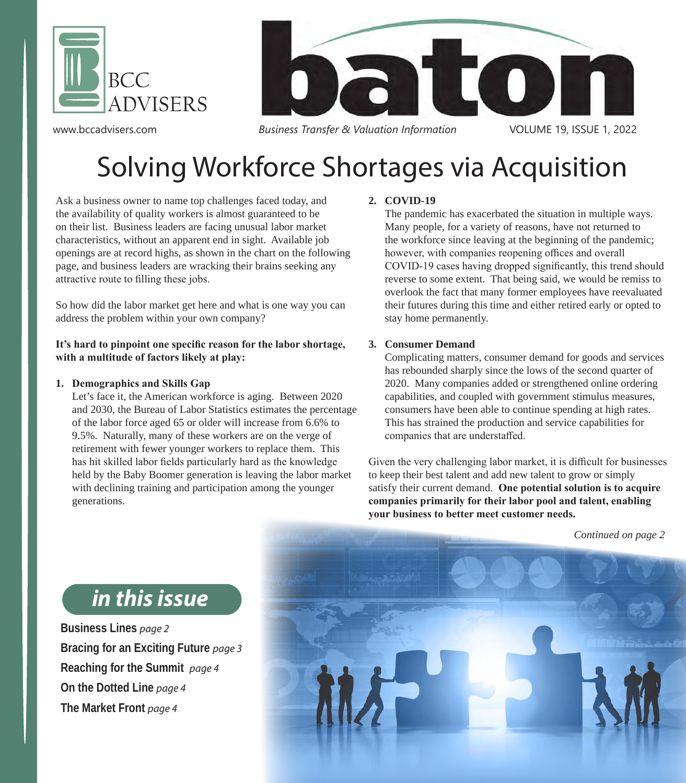

www.bccadvisers.com



*Business Transfer & Valuation Information* VOLUME 19, ISSUE 1, 2022

# Solving Workforce Shortages via Acquisition

Ask a business owner to name top challenges faced today, and the availability of quality workers is almost guaranteed to be on their list. Business leaders are facing unusual labor market characteristics, without an apparent end in sight. Available job openings are at record highs, as shown in the chart on the following page, and business leaders are wracking their brains seeking any attractive route to filling these jobs.

So how did the labor market get here and what is one way you can address the problem within your own company?

#### **It's hard to pinpoint one specific reason for the labor shortage, with a multitude of factors likely at play:**

#### **1. Demographics and Skills Gap**

Let's face it, the American workforce is aging. Between 2020 and 2030, the Bureau of Labor Statistics estimates the percentage of the labor force aged 65 or older will increase from 6.6% to 9.5%. Naturally, many of these workers are on the verge of retirement with fewer younger workers to replace them. This has hit skilled labor fields particularly hard as the knowledge held by the Baby Boomer generation is leaving the labor market with declining training and participation among the younger generations.

### **2. COVID-19**

The pandemic has exacerbated the situation in multiple ways. Many people, for a variety of reasons, have not returned to the workforce since leaving at the beginning of the pandemic; however, with companies reopening offices and overall COVID-19 cases having dropped significantly, this trend should reverse to some extent. That being said, we would be remiss to overlook the fact that many former employees have reevaluated their futures during this time and either retired early or opted to stay home permanently.

#### **3. Consumer Demand**

Complicating matters, consumer demand for goods and services has rebounded sharply since the lows of the second quarter of 2020. Many companies added or strengthened online ordering capabilities, and coupled with government stimulus measures, consumers have been able to continue spending at high rates. This has strained the production and service capabilities for companies that are understaffed.

Given the very challenging labor market, it is difficult for businesses to keep their best talent and add new talent to grow or simply satisfy their current demand. **One potential solution is to acquire companies primarily for their labor pool and talent, enabling your business to better meet customer needs.** 



### *in this issue*

**Business Lines** *page 2* **Bracing for an Exciting Future** *page 3* **Reaching for the Summit** *page 4* **On the Dotted Line** *page 4* **The Market Front** *page 4*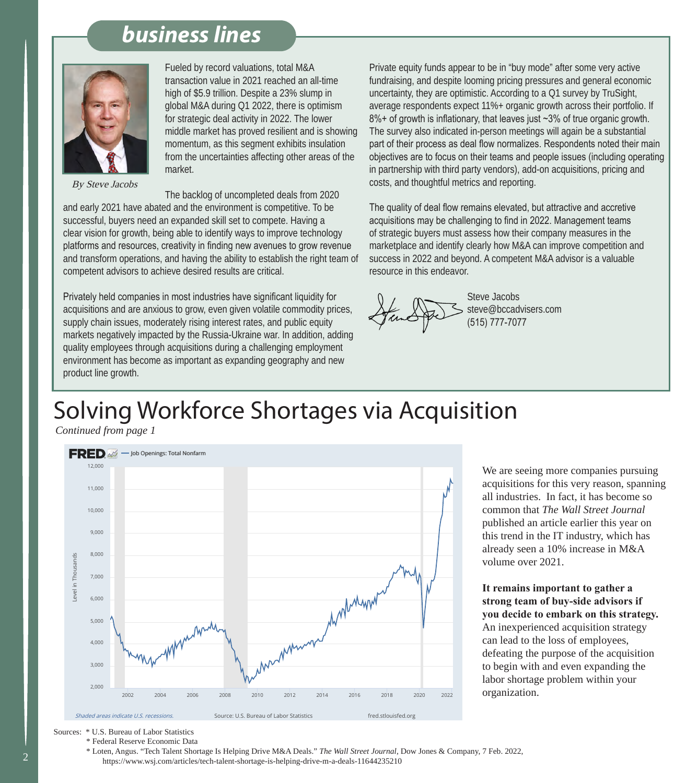### *business lines*



By Steve Jacobs

Fueled by record valuations, total M&A transaction value in 2021 reached an all-time high of \$5.9 trillion. Despite a 23% slump in global M&A during Q1 2022, there is optimism for strategic deal activity in 2022. The lower middle market has proved resilient and is showing momentum, as this segment exhibits insulation from the uncertainties affecting other areas of the market.

The backlog of uncompleted deals from 2020 and early 2021 have abated and the environment is competitive. To be successful, buyers need an expanded skill set to compete. Having a clear vision for growth, being able to identify ways to improve technology platforms and resources, creativity in finding new avenues to grow revenue and transform operations, and having the ability to establish the right team of competent advisors to achieve desired results are critical.

Privately held companies in most industries have significant liquidity for acquisitions and are anxious to grow, even given volatile commodity prices, supply chain issues, moderately rising interest rates, and public equity markets negatively impacted by the Russia-Ukraine war. In addition, adding quality employees through acquisitions during a challenging employment environment has become as important as expanding geography and new product line growth.

Private equity funds appear to be in "buy mode" after some very active fundraising, and despite looming pricing pressures and general economic uncertainty, they are optimistic. According to a Q1 survey by TruSight, average respondents expect 11%+ organic growth across their portfolio. If 8%+ of growth is inflationary, that leaves just ~3% of true organic growth. The survey also indicated in-person meetings will again be a substantial part of their process as deal flow normalizes. Respondents noted their main objectives are to focus on their teams and people issues (including operating in partnership with third party vendors), add-on acquisitions, pricing and costs, and thoughtful metrics and reporting.

The quality of deal flow remains elevated, but attractive and accretive acquisitions may be challenging to find in 2022. Management teams of strategic buyers must assess how their company measures in the marketplace and identify clearly how M&A can improve competition and success in 2022 and beyond. A competent M&A advisor is a valuable resource in this endeavor.



 Steve Jacobs steve@bccadvisers.com (515) 777-7077

# Solving Workforce Shortages via Acquisition

*Continued from page 1*



We are seeing more companies pursuing acquisitions for this very reason, spanning all industries. In fact, it has become so common that *The Wall Street Journal* published an article earlier this year on this trend in the IT industry, which has already seen a 10% increase in M&A volume over 2021.

**It remains important to gather a strong team of buy-side advisors if you decide to embark on this strategy.**  An inexperienced acquisition strategy can lead to the loss of employees, defeating the purpose of the acquisition to begin with and even expanding the labor shortage problem within your organization.

Sources: \* U.S. Bureau of Labor Statistics

\* Federal Reserve Economic Data

 \* Loten, Angus. "Tech Talent Shortage Is Helping Drive M&A Deals." *The Wall Street Journal*, Dow Jones & Company, 7 Feb. 2022, https://www.wsj.com/articles/tech-talent-shortage-is-helping-drive-m-a-deals-11644235210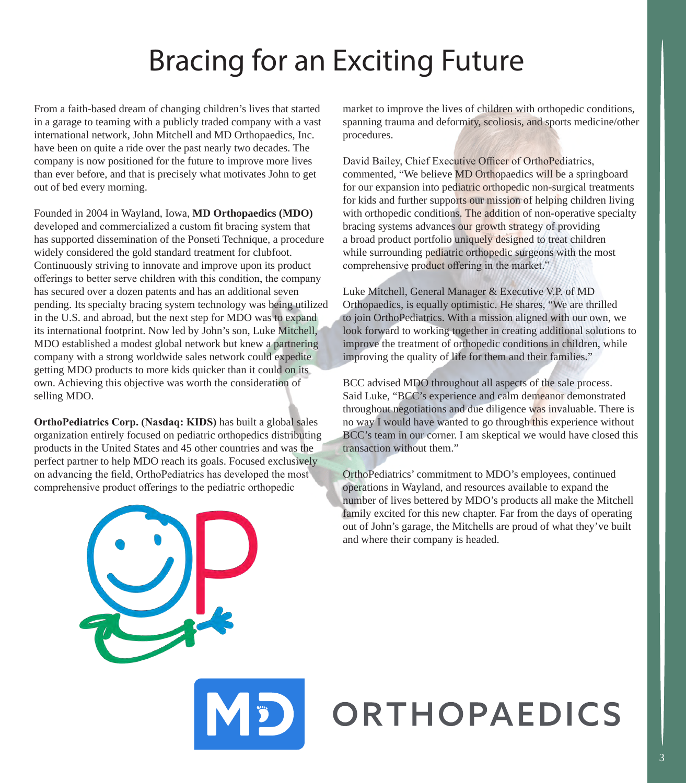# Bracing for an Exciting Future

From a faith-based dream of changing children's lives that started in a garage to teaming with a publicly traded company with a vast international network, John Mitchell and MD Orthopaedics, Inc. have been on quite a ride over the past nearly two decades. The company is now positioned for the future to improve more lives than ever before, and that is precisely what motivates John to get out of bed every morning.

Founded in 2004 in Wayland, Iowa, **MD Orthopaedics (MDO)** developed and commercialized a custom fit bracing system that has supported dissemination of the Ponseti Technique, a procedure widely considered the gold standard treatment for clubfoot. Continuously striving to innovate and improve upon its product offerings to better serve children with this condition, the company has secured over a dozen patents and has an additional seven pending. Its specialty bracing system technology was being utilized in the U.S. and abroad, but the next step for MDO was to expand its international footprint. Now led by John's son, Luke Mitchell, MDO established a modest global network but knew a partnering company with a strong worldwide sales network could expedite getting MDO products to more kids quicker than it could on its own. Achieving this objective was worth the consideration of selling MDO.

**OrthoPediatrics Corp. (Nasdaq: KIDS)** has built a global sales organization entirely focused on pediatric orthopedics distributing products in the United States and 45 other countries and was the perfect partner to help MDO reach its goals. Focused exclusively on advancing the field, OrthoPediatrics has developed the most comprehensive product offerings to the pediatric orthopedic

market to improve the lives of children with orthopedic conditions, spanning trauma and deformity, scoliosis, and sports medicine/other procedures.

David Bailey, Chief Executive Officer of OrthoPediatrics, commented, "We believe MD Orthopaedics will be a springboard for our expansion into pediatric orthopedic non-surgical treatments for kids and further supports our mission of helping children living with orthopedic conditions. The addition of non-operative specialty bracing systems advances our growth strategy of providing a broad product portfolio uniquely designed to treat children while surrounding pediatric orthopedic surgeons with the most comprehensive product offering in the market."

Luke Mitchell, General Manager & Executive V.P. of MD Orthopaedics, is equally optimistic. He shares, "We are thrilled to join OrthoPediatrics. With a mission aligned with our own, we look forward to working together in creating additional solutions to improve the treatment of orthopedic conditions in children, while improving the quality of life for them and their families."

BCC advised MDO throughout all aspects of the sale process. Said Luke, "BCC's experience and calm demeanor demonstrated throughout negotiations and due diligence was invaluable. There is no way I would have wanted to go through this experience without BCC's team in our corner. I am skeptical we would have closed this transaction without them."

OrthoPediatrics' commitment to MDO's employees, continued operations in Wayland, and resources available to expand the number of lives bettered by MDO's products all make the Mitchell family excited for this new chapter. Far from the days of operating out of John's garage, the Mitchells are proud of what they've built and where their company is headed.

# ORTHOPAEDICS